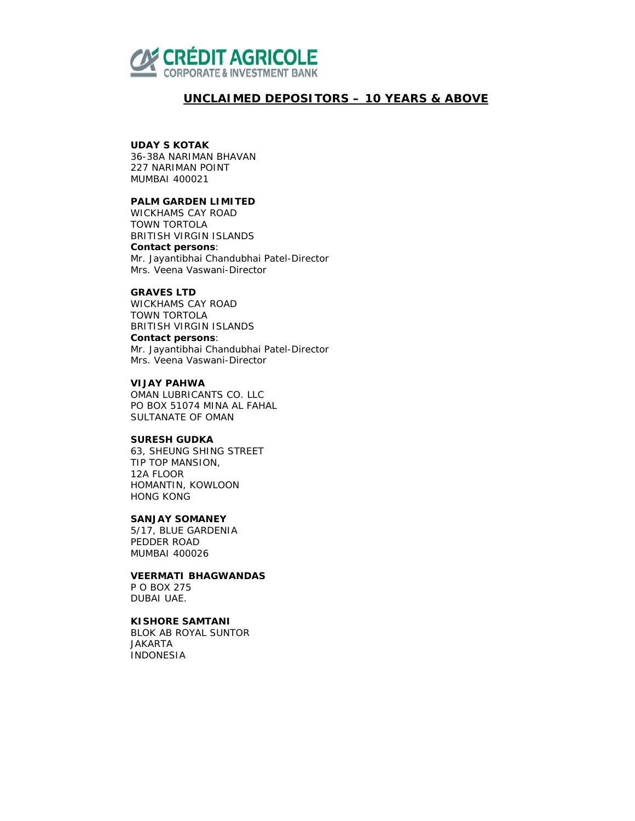

# *UNCLAIMED DEPOSITORS – 10 YEARS & ABOVE*

### **UDAY S KOTAK**

36-38A NARIMAN BHAVAN 227 NARIMAN POINT MUMBAI 400021

# **PALM GARDEN LIMITED**

WICKHAMS CAY ROAD TOWN TORTOLA BRITISH VIRGIN ISLANDS **Contact persons**: Mr. Jayantibhai Chandubhai Patel-Director Mrs. Veena Vaswani-Director

### **GRAVES LTD**

WICKHAMS CAY ROAD TOWN TORTOLA BRITISH VIRGIN ISLANDS **Contact persons**: Mr. Jayantibhai Chandubhai Patel-Director Mrs. Veena Vaswani-Director

### **VIJAY PAHWA**

OMAN LUBRICANTS CO. LLC PO BOX 51074 MINA AL FAHAL SULTANATE OF OMAN

# **SURESH GUDKA**

63, SHEUNG SHING STREET TIP TOP MANSION, 12A FLOOR HOMANTIN, KOWLOON HONG KONG

## **SANJAY SOMANEY**

5/17, BLUE GARDENIA PEDDER ROAD MUMBAI 400026

## **VEERMATI BHAGWANDAS**

P O BOX 275 DUBAI UAE.

# **KISHORE SAMTANI**

BLOK AB ROYAL SUNTOR JAKARTA INDONESIA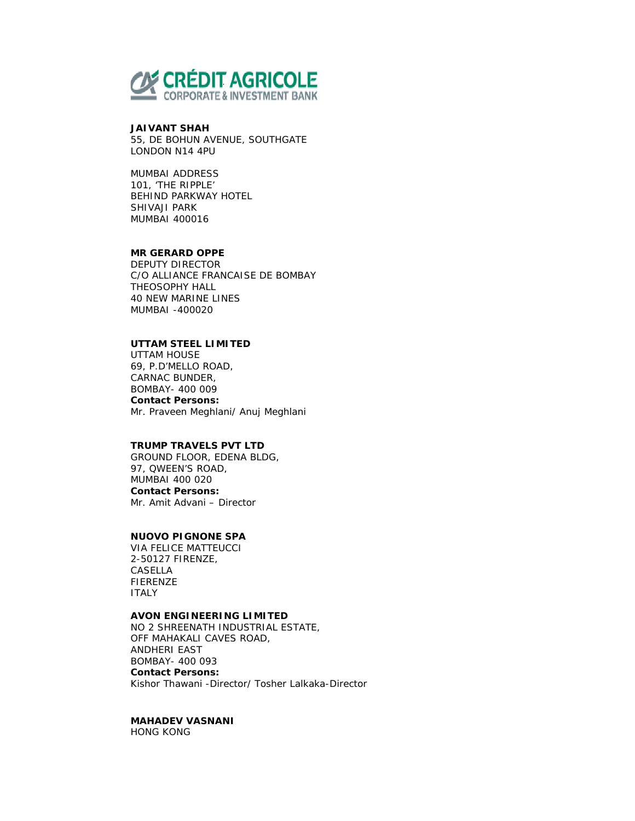

### **JAIVANT SHAH**

55, DE BOHUN AVENUE, SOUTHGATE LONDON N14 4PU

MUMBAI ADDRESS 101, 'THE RIPPLE' BEHIND PARKWAY HOTEL SHIVAJI PARK MUMBAI 400016

# **MR GERARD OPPE**

DEPUTY DIRECTOR C/O ALLIANCE FRANCAISE DE BOMBAY THEOSOPHY HALL 40 NEW MARINE LINES MUMBAI -400020

# **UTTAM STEEL LIMITED**

UTTAM HOUSE 69, P.D'MELLO ROAD, CARNAC BUNDER, BOMBAY- 400 009 **Contact Persons:**  Mr. Praveen Meghlani/ Anuj Meghlani

### **TRUMP TRAVELS PVT LTD**

GROUND FLOOR, EDENA BLDG, 97, QWEEN'S ROAD, MUMBAI 400 020 **Contact Persons:**  Mr. Amit Advani – Director

# **NUOVO PIGNONE SPA**

VIA FELICE MATTEUCCI 2-50127 FIRENZE, CASELLA FIERENZE ITALY

#### **AVON ENGINEERING LIMITED**

NO 2 SHREENATH INDUSTRIAL ESTATE, OFF MAHAKALI CAVES ROAD, ANDHERI EAST BOMBAY- 400 093 **Contact Persons:**  Kishor Thawani -Director/ Tosher Lalkaka-Director

# **MAHADEV VASNANI**

HONG KONG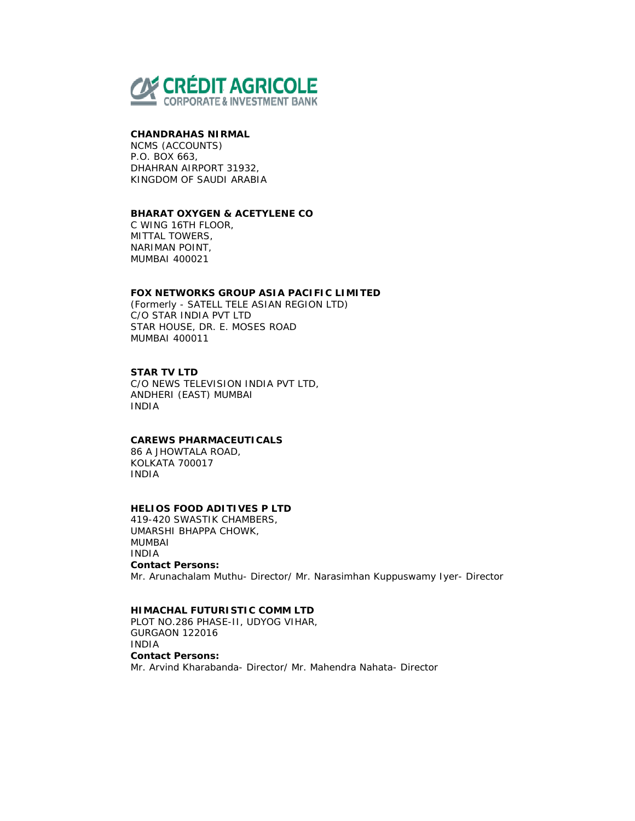

### **CHANDRAHAS NIRMAL**

NCMS (ACCOUNTS) P.O. BOX 663, DHAHRAN AIRPORT 31932, KINGDOM OF SAUDI ARABIA

### **BHARAT OXYGEN & ACETYLENE CO**

C WING 16TH FLOOR, MITTAL TOWERS, NARIMAN POINT, MUMBAI 400021

### **FOX NETWORKS GROUP ASIA PACIFIC LIMITED**

(Formerly - SATELL TELE ASIAN REGION LTD) C/O STAR INDIA PVT LTD STAR HOUSE, DR. E. MOSES ROAD MUMBAI 400011

## **STAR TV LTD**

C/O NEWS TELEVISION INDIA PVT LTD, ANDHERI (EAST) MUMBAI INDIA

## **CAREWS PHARMACEUTICALS**

86 A JHOWTALA ROAD, KOLKATA 700017 INDIA

# **HELIOS FOOD ADITIVES P LTD**

419-420 SWASTIK CHAMBERS, UMARSHI BHAPPA CHOWK, MUMBAI INDIA **Contact Persons:**  Mr. Arunachalam Muthu- Director/ Mr. Narasimhan Kuppuswamy Iyer- Director

## **HIMACHAL FUTURISTIC COMM LTD**

PLOT NO.286 PHASE-II, UDYOG VIHAR, GURGAON 122016 INDIA **Contact Persons:**  Mr. Arvind Kharabanda- Director/ Mr. Mahendra Nahata- Director